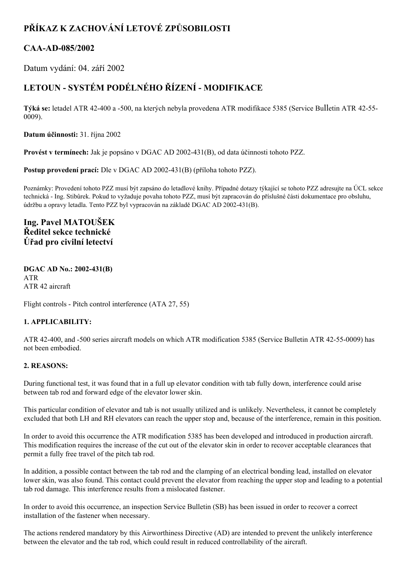## **PŘÍKAZ K ZACHOVÁNÍ LETOVÉ ZPŮSOBILOSTI**

### **CAAAD085/2002**

Datum vydání: 04. září 2002

# **LETOUN SYSTÉM PODÉLNÉHO ŘÍZENÍ MODIFIKACE**

**Týká se:** letadel ATR 42-400 a -500, na kterých nebyla provedena ATR modifikace 5385 (Service Bulletin ATR 42-55-0009).

**Datum účinnosti:** 31. října 2002

**Provést v termínech:** Jak je popsáno v DGAC AD 2002431(B), od data účinnosti tohoto PZZ.

**Postup provedení prací:** Dle v DGAC AD 2002431(B) (příloha tohoto PZZ).

Poznámky: Provedení tohoto PZZ musí být zapsáno do letadlové knihy. Případné dotazy týkající se tohoto PZZ adresujte na ÚCL sekce technická Ing. Stibůrek. Pokud to vyžaduje povaha tohoto PZZ, musí být zapracován do příslušné části dokumentace pro obsluhu, údržbu a opravy letadla. Tento PZZ byl vypracován na základě DGAC AD 2002431(B).

**Ing. Pavel MATOUŠEK Ředitel sekce technické Úřad pro civilní letectví**

#### **DGAC AD No.: 2002431(B)** ATR ATR 42 aircraft

Flight controls - Pitch control interference (ATA 27, 55)

#### **1. APPLICABILITY:**

ATR 42-400, and -500 series aircraft models on which ATR modification 5385 (Service Bulletin ATR 42-55-0009) has not been embodied.

#### **2. REASONS:**

During functional test, it was found that in a full up elevator condition with tab fully down, interference could arise between tab rod and forward edge of the elevator lower skin.

This particular condition of elevator and tab is not usually utilized and is unlikely. Nevertheless, it cannot be completely excluded that both LH and RH elevators can reach the upper stop and, because of the interference, remain in this position.

In order to avoid this occurrence the ATR modification 5385 has been developed and introduced in production aircraft. This modification requires the increase of the cut out of the elevator skin in order to recover acceptable clearances that permit a fully free travel of the pitch tab rod.

In addition, a possible contact between the tab rod and the clamping of an electrical bonding lead, installed on elevator lower skin, was also found. This contact could prevent the elevator from reaching the upper stop and leading to a potential tab rod damage. This interference results from a mislocated fastener.

In order to avoid this occurrence, an inspection Service Bulletin (SB) has been issued in order to recover a correct installation of the fastener when necessary.

The actions rendered mandatory by this Airworthiness Directive (AD) are intended to prevent the unlikely interference between the elevator and the tab rod, which could result in reduced controllability of the aircraft.